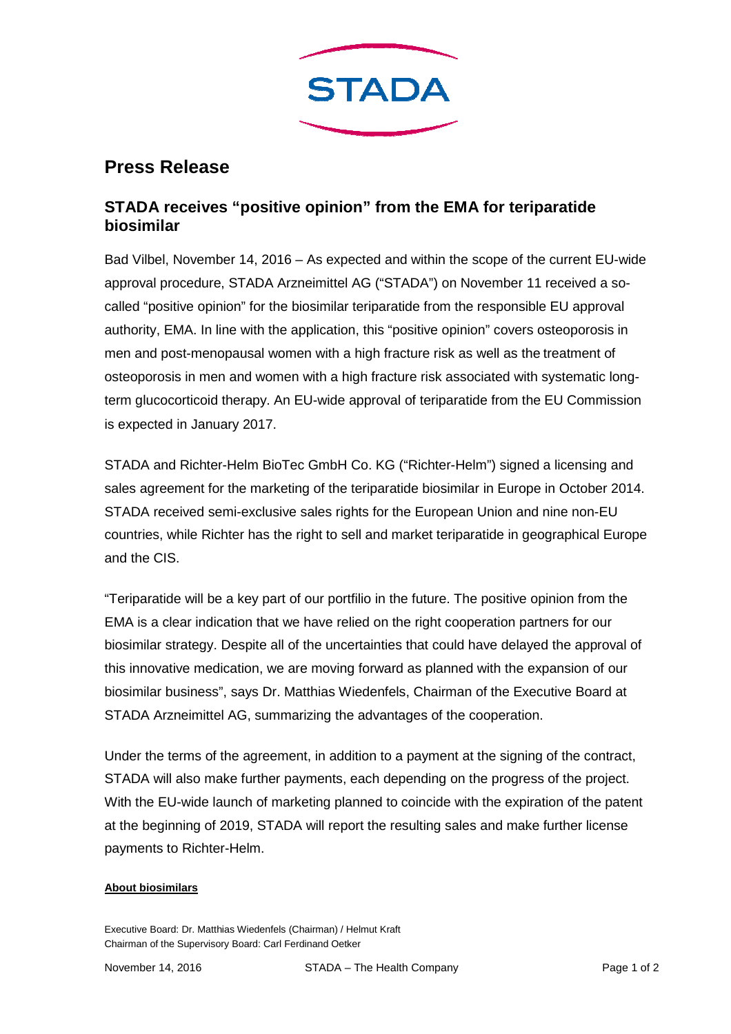

# **Press Release**

# **STADA receives "positive opinion" from the EMA for teriparatide biosimilar**

Bad Vilbel, November 14, 2016 – As expected and within the scope of the current EU-wide approval procedure, STADA Arzneimittel AG ("STADA") on November 11 received a socalled "positive opinion" for the biosimilar teriparatide from the responsible EU approval authority, EMA. In line with the application, this "positive opinion" covers osteoporosis in men and post-menopausal women with a high fracture risk as well as the treatment of osteoporosis in men and women with a high fracture risk associated with systematic longterm glucocorticoid therapy. An EU-wide approval of teriparatide from the EU Commission is expected in January 2017.

STADA and Richter-Helm BioTec GmbH Co. KG ("Richter-Helm") signed a licensing and sales agreement for the marketing of the teriparatide biosimilar in Europe in October 2014. STADA received semi-exclusive sales rights for the European Union and nine non-EU countries, while Richter has the right to sell and market teriparatide in geographical Europe and the CIS.

"Teriparatide will be a key part of our portfilio in the future. The positive opinion from the EMA is a clear indication that we have relied on the right cooperation partners for our biosimilar strategy. Despite all of the uncertainties that could have delayed the approval of this innovative medication, we are moving forward as planned with the expansion of our biosimilar business", says Dr. Matthias Wiedenfels, Chairman of the Executive Board at STADA Arzneimittel AG, summarizing the advantages of the cooperation.

Under the terms of the agreement, in addition to a payment at the signing of the contract, STADA will also make further payments, each depending on the progress of the project. With the EU-wide launch of marketing planned to coincide with the expiration of the patent at the beginning of 2019, STADA will report the resulting sales and make further license payments to Richter-Helm.

## **About biosimilars**

Executive Board: Dr. Matthias Wiedenfels (Chairman) / Helmut Kraft Chairman of the Supervisory Board: Carl Ferdinand Oetker